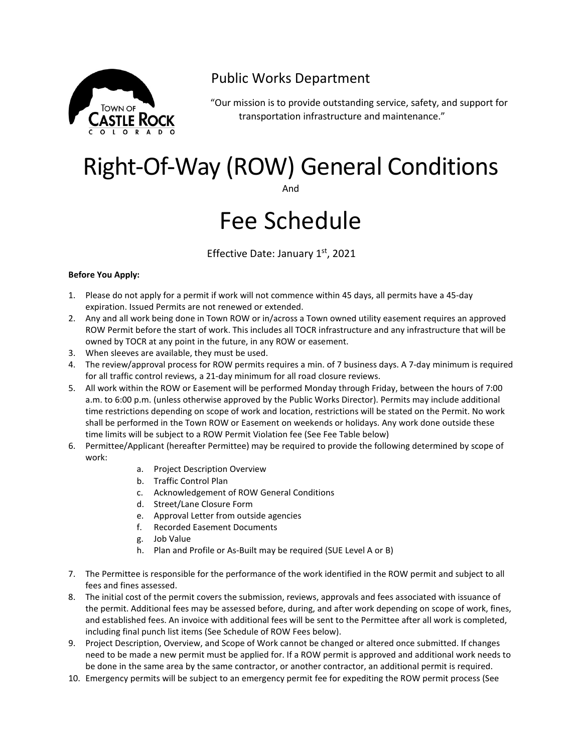

## Public Works Department

"Our mission is to provide outstanding service, safety, and support for transportation infrastructure and maintenance."

# Right-Of-Way (ROW) General Conditions

And

# Fee Schedule

Effective Date: January 1st, 2021

#### **Before You Apply:**

- 1. Please do not apply for a permit if work will not commence within 45 days, all permits have a 45-day expiration. Issued Permits are not renewed or extended.
- 2. Any and all work being done in Town ROW or in/across a Town owned utility easement requires an approved ROW Permit before the start of work. This includes all TOCR infrastructure and any infrastructure that will be owned by TOCR at any point in the future, in any ROW or easement.
- 3. When sleeves are available, they must be used.
- 4. The review/approval process for ROW permits requires a min. of 7 business days. A 7-day minimum is required for all traffic control reviews, a 21-day minimum for all road closure reviews.
- 5. All work within the ROW or Easement will be performed Monday through Friday, between the hours of 7:00 a.m. to 6:00 p.m. (unless otherwise approved by the Public Works Director). Permits may include additional time restrictions depending on scope of work and location, restrictions will be stated on the Permit. No work shall be performed in the Town ROW or Easement on weekends or holidays. Any work done outside these time limits will be subject to a ROW Permit Violation fee (See Fee Table below)
- 6. Permittee/Applicant (hereafter Permittee) may be required to provide the following determined by scope of work:
	- a. Project Description Overview
	- b. Traffic Control Plan
	- c. Acknowledgement of ROW General Conditions
	- d. Street/Lane Closure Form
	- e. Approval Letter from outside agencies
	- f. Recorded Easement Documents
	- g. Job Value
	- h. Plan and Profile or As-Built may be required (SUE Level A or B)
- 7. The Permittee is responsible for the performance of the work identified in the ROW permit and subject to all fees and fines assessed.
- 8. The initial cost of the permit covers the submission, reviews, approvals and fees associated with issuance of the permit. Additional fees may be assessed before, during, and after work depending on scope of work, fines, and established fees. An invoice with additional fees will be sent to the Permittee after all work is completed, including final punch list items (See Schedule of ROW Fees below).
- 9. Project Description, Overview, and Scope of Work cannot be changed or altered once submitted. If changes need to be made a new permit must be applied for. If a ROW permit is approved and additional work needs to be done in the same area by the same contractor, or another contractor, an additional permit is required.
- 10. Emergency permits will be subject to an emergency permit fee for expediting the ROW permit process (See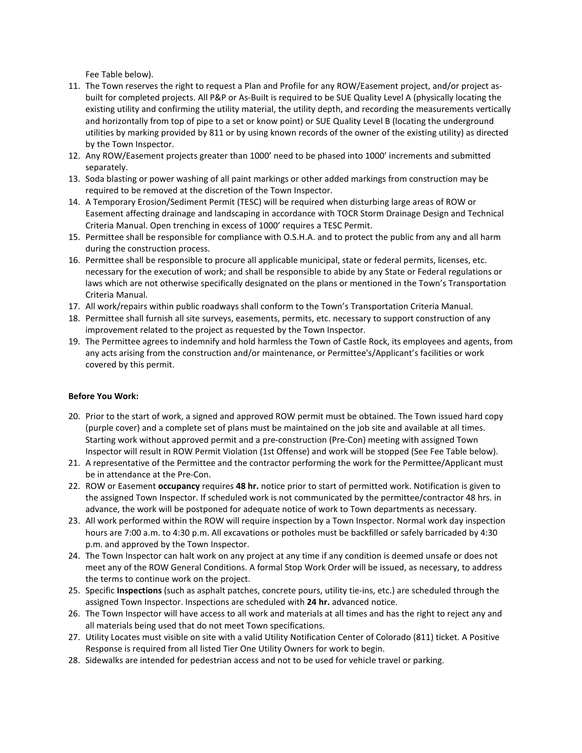Fee Table below).

- 11. The Town reserves the right to request a Plan and Profile for any ROW/Easement project, and/or project asbuilt for completed projects. All P&P or As-Built is required to be SUE Quality Level A (physically locating the existing utility and confirming the utility material, the utility depth, and recording the measurements vertically and horizontally from top of pipe to a set or know point) or SUE Quality Level B (locating the underground utilities by marking provided by 811 or by using known records of the owner of the existing utility) as directed by the Town Inspector.
- 12. Any ROW/Easement projects greater than 1000' need to be phased into 1000' increments and submitted separately.
- 13. Soda blasting or power washing of all paint markings or other added markings from construction may be required to be removed at the discretion of the Town Inspector.
- 14. A Temporary Erosion/Sediment Permit (TESC) will be required when disturbing large areas of ROW or Easement affecting drainage and landscaping in accordance with TOCR Storm Drainage Design and Technical Criteria Manual. Open trenching in excess of 1000' requires a TESC Permit.
- 15. Permittee shall be responsible for compliance with O.S.H.A. and to protect the public from any and all harm during the construction process.
- 16. Permittee shall be responsible to procure all applicable municipal, state or federal permits, licenses, etc. necessary for the execution of work; and shall be responsible to abide by any State or Federal regulations or laws which are not otherwise specifically designated on the plans or mentioned in the Town's Transportation Criteria Manual.
- 17. All work/repairs within public roadways shall conform to the Town's Transportation Criteria Manual.
- 18. Permittee shall furnish all site surveys, easements, permits, etc. necessary to support construction of any improvement related to the project as requested by the Town Inspector.
- 19. The Permittee agrees to indemnify and hold harmless the Town of Castle Rock, its employees and agents, from any acts arising from the construction and/or maintenance, or Permittee's/Applicant's facilities or work covered by this permit.

#### **Before You Work:**

- 20. Prior to the start of work, a signed and approved ROW permit must be obtained. The Town issued hard copy (purple cover) and a complete set of plans must be maintained on the job site and available at all times. Starting work without approved permit and a pre-construction (Pre-Con) meeting with assigned Town Inspector will result in ROW Permit Violation (1st Offense) and work will be stopped (See Fee Table below).
- 21. A representative of the Permittee and the contractor performing the work for the Permittee/Applicant must be in attendance at the Pre-Con.
- 22. ROW or Easement **occupancy** requires **48 hr.** notice prior to start of permitted work. Notification is given to the assigned Town Inspector. If scheduled work is not communicated by the permittee/contractor 48 hrs. in advance, the work will be postponed for adequate notice of work to Town departments as necessary.
- 23. All work performed within the ROW will require inspection by a Town Inspector. Normal work day inspection hours are 7:00 a.m. to 4:30 p.m. All excavations or potholes must be backfilled or safely barricaded by 4:30 p.m. and approved by the Town Inspector.
- 24. The Town Inspector can halt work on any project at any time if any condition is deemed unsafe or does not meet any of the ROW General Conditions. A formal Stop Work Order will be issued, as necessary, to address the terms to continue work on the project.
- 25. Specific **Inspections** (such as asphalt patches, concrete pours, utility tie-ins, etc.) are scheduled through the assigned Town Inspector. Inspections are scheduled with **24 hr.** advanced notice.
- 26. The Town Inspector will have access to all work and materials at all times and has the right to reject any and all materials being used that do not meet Town specifications.
- 27. Utility Locates must visible on site with a valid Utility Notification Center of Colorado (811) ticket. A Positive Response is required from all listed Tier One Utility Owners for work to begin.
- 28. Sidewalks are intended for pedestrian access and not to be used for vehicle travel or parking.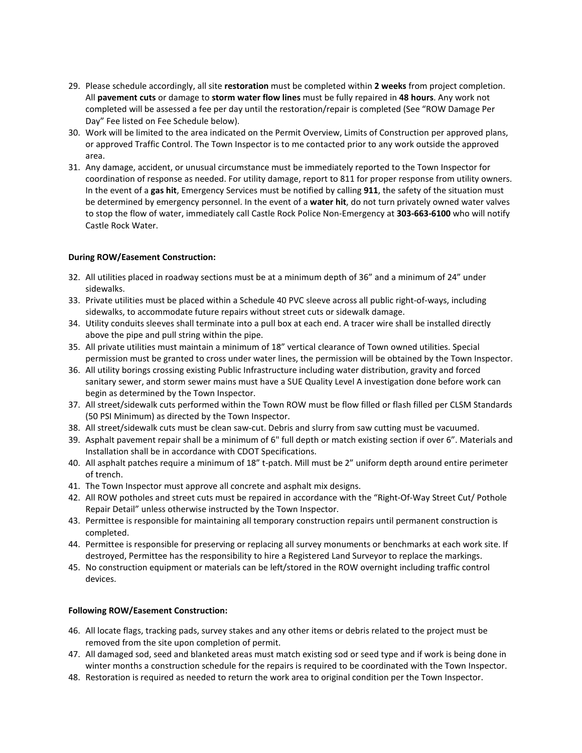- 29. Please schedule accordingly, all site **restoration** must be completed within **2 weeks** from project completion. All **pavement cuts** or damage to **storm water flow lines** must be fully repaired in **48 hours**. Any work not completed will be assessed a fee per day until the restoration/repair is completed (See "ROW Damage Per Day" Fee listed on Fee Schedule below).
- 30. Work will be limited to the area indicated on the Permit Overview, Limits of Construction per approved plans, or approved Traffic Control. The Town Inspector is to me contacted prior to any work outside the approved area.
- 31. Any damage, accident, or unusual circumstance must be immediately reported to the Town Inspector for coordination of response as needed. For utility damage, report to 811 for proper response from utility owners. In the event of a **gas hit**, Emergency Services must be notified by calling **911**, the safety of the situation must be determined by emergency personnel. In the event of a **water hit**, do not turn privately owned water valves to stop the flow of water, immediately call Castle Rock Police Non-Emergency at **303-663-6100** who will notify Castle Rock Water.

#### **During ROW/Easement Construction:**

- 32. All utilities placed in roadway sections must be at a minimum depth of 36" and a minimum of 24" under sidewalks.
- 33. Private utilities must be placed within a Schedule 40 PVC sleeve across all public right-of-ways, including sidewalks, to accommodate future repairs without street cuts or sidewalk damage.
- 34. Utility conduits sleeves shall terminate into a pull box at each end. A tracer wire shall be installed directly above the pipe and pull string within the pipe.
- 35. All private utilities must maintain a minimum of 18" vertical clearance of Town owned utilities. Special permission must be granted to cross under water lines, the permission will be obtained by the Town Inspector.
- 36. All utility borings crossing existing Public Infrastructure including water distribution, gravity and forced sanitary sewer, and storm sewer mains must have a SUE Quality Level A investigation done before work can begin as determined by the Town Inspector.
- 37. All street/sidewalk cuts performed within the Town ROW must be flow filled or flash filled per CLSM Standards (50 PSI Minimum) as directed by the Town Inspector.
- 38. All street/sidewalk cuts must be clean saw-cut. Debris and slurry from saw cutting must be vacuumed.
- 39. Asphalt pavement repair shall be a minimum of 6" full depth or match existing section if over 6". Materials and Installation shall be in accordance with CDOT Specifications.
- 40. All asphalt patches require a minimum of 18" t-patch. Mill must be 2" uniform depth around entire perimeter of trench.
- 41. The Town Inspector must approve all concrete and asphalt mix designs.
- 42. All ROW potholes and street cuts must be repaired in accordance with the "Right-Of-Way Street Cut/ Pothole Repair Detail" unless otherwise instructed by the Town Inspector.
- 43. Permittee is responsible for maintaining all temporary construction repairs until permanent construction is completed.
- 44. Permittee is responsible for preserving or replacing all survey monuments or benchmarks at each work site. If destroyed, Permittee has the responsibility to hire a Registered Land Surveyor to replace the markings.
- 45. No construction equipment or materials can be left/stored in the ROW overnight including traffic control devices.

#### **Following ROW/Easement Construction:**

- 46. All locate flags, tracking pads, survey stakes and any other items or debris related to the project must be removed from the site upon completion of permit.
- 47. All damaged sod, seed and blanketed areas must match existing sod or seed type and if work is being done in winter months a construction schedule for the repairs is required to be coordinated with the Town Inspector.
- 48. Restoration is required as needed to return the work area to original condition per the Town Inspector.